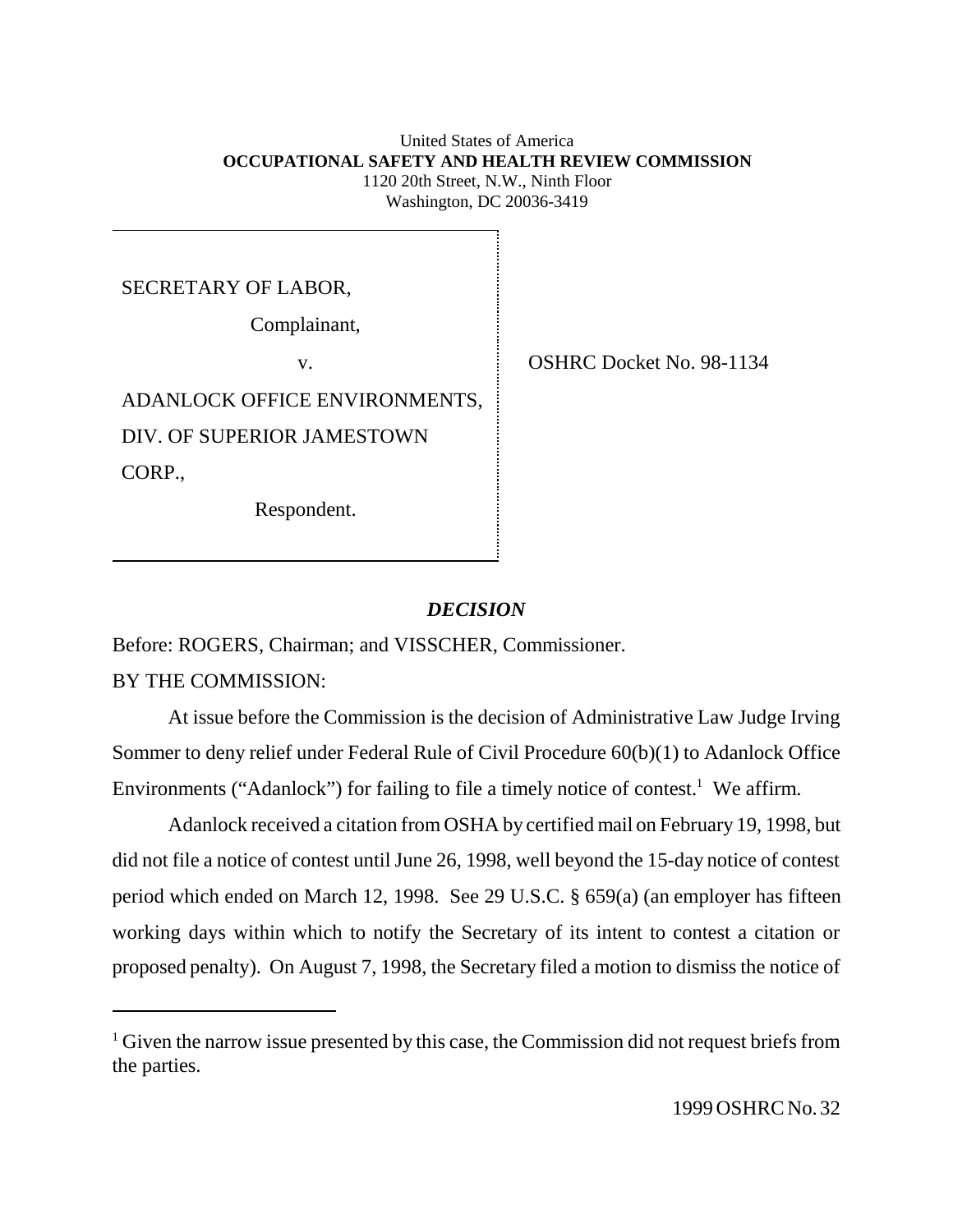United States of America  **OCCUPATIONAL SAFETY AND HEALTH REVIEW COMMISSION** 1120 20th Street, N.W., Ninth Floor Washington, DC 20036-3419

SECRETARY OF LABOR,

Complainant,

ADANLOCK OFFICE ENVIRONMENTS, DIV. OF SUPERIOR JAMESTOWN CORP.,

Respondent.

v. SHRC Docket No. 98-1134

## *DECISION*

Before: ROGERS, Chairman; and VISSCHER, Commissioner.

BY THE COMMISSION:

At issue before the Commission is the decision of Administrative Law Judge Irving Sommer to deny relief under Federal Rule of Civil Procedure 60(b)(1) to Adanlock Office Environments ("Adanlock") for failing to file a timely notice of contest.<sup>1</sup> We affirm.

Adanlock received a citation from OSHA by certified mail on February 19, 1998, but did not file a notice of contest until June 26, 1998, well beyond the 15-day notice of contest period which ended on March 12, 1998. See 29 U.S.C. § 659(a) (an employer has fifteen working days within which to notify the Secretary of its intent to contest a citation or proposed penalty). On August 7, 1998, the Secretary filed a motion to dismiss the notice of

<sup>&</sup>lt;sup>1</sup> Given the narrow issue presented by this case, the Commission did not request briefs from the parties.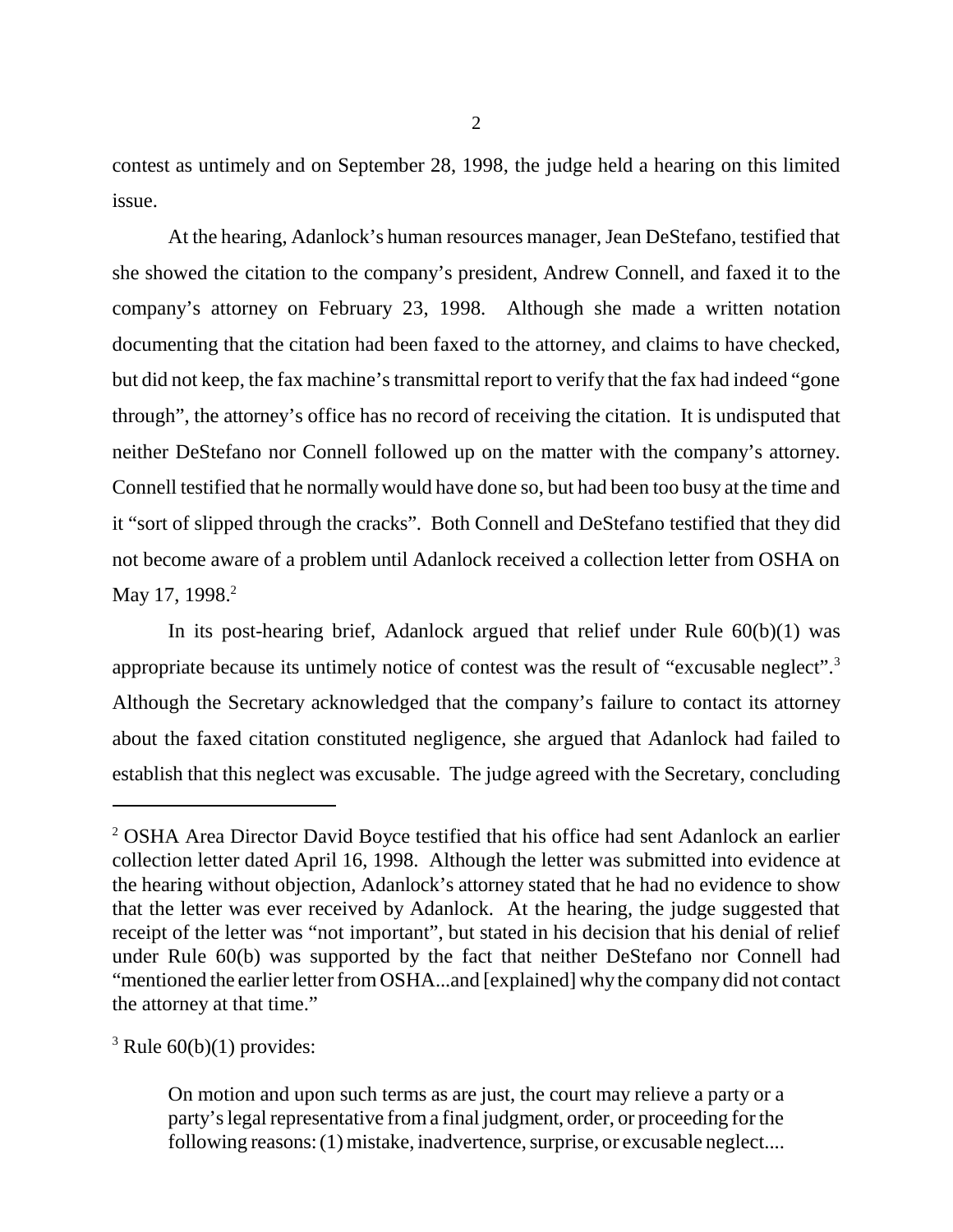contest as untimely and on September 28, 1998, the judge held a hearing on this limited issue.

At the hearing, Adanlock's human resources manager, Jean DeStefano, testified that she showed the citation to the company's president, Andrew Connell, and faxed it to the company's attorney on February 23, 1998. Although she made a written notation documenting that the citation had been faxed to the attorney, and claims to have checked, but did not keep, the fax machine's transmittal report to verify that the fax had indeed "gone through", the attorney's office has no record of receiving the citation. It is undisputed that neither DeStefano nor Connell followed up on the matter with the company's attorney. Connell testified that he normally would have done so, but had been too busy at the time and it "sort of slipped through the cracks". Both Connell and DeStefano testified that they did not become aware of a problem until Adanlock received a collection letter from OSHA on May 17, 1998.<sup>2</sup>

In its post-hearing brief, Adanlock argued that relief under Rule 60(b)(1) was appropriate because its untimely notice of contest was the result of "excusable neglect".3 Although the Secretary acknowledged that the company's failure to contact its attorney about the faxed citation constituted negligence, she argued that Adanlock had failed to establish that this neglect was excusable. The judge agreed with the Secretary, concluding

 $3$  Rule  $60(b)(1)$  provides:

<sup>&</sup>lt;sup>2</sup> OSHA Area Director David Boyce testified that his office had sent Adanlock an earlier collection letter dated April 16, 1998. Although the letter was submitted into evidence at the hearing without objection, Adanlock's attorney stated that he had no evidence to show that the letter was ever received by Adanlock. At the hearing, the judge suggested that receipt of the letter was "not important", but stated in his decision that his denial of relief under Rule 60(b) was supported by the fact that neither DeStefano nor Connell had "mentioned the earlier letter from OSHA...and [explained] why the company did not contact the attorney at that time."

On motion and upon such terms as are just, the court may relieve a party or a party's legal representative from a final judgment, order, or proceeding for the following reasons: (1) mistake, inadvertence, surprise, or excusable neglect....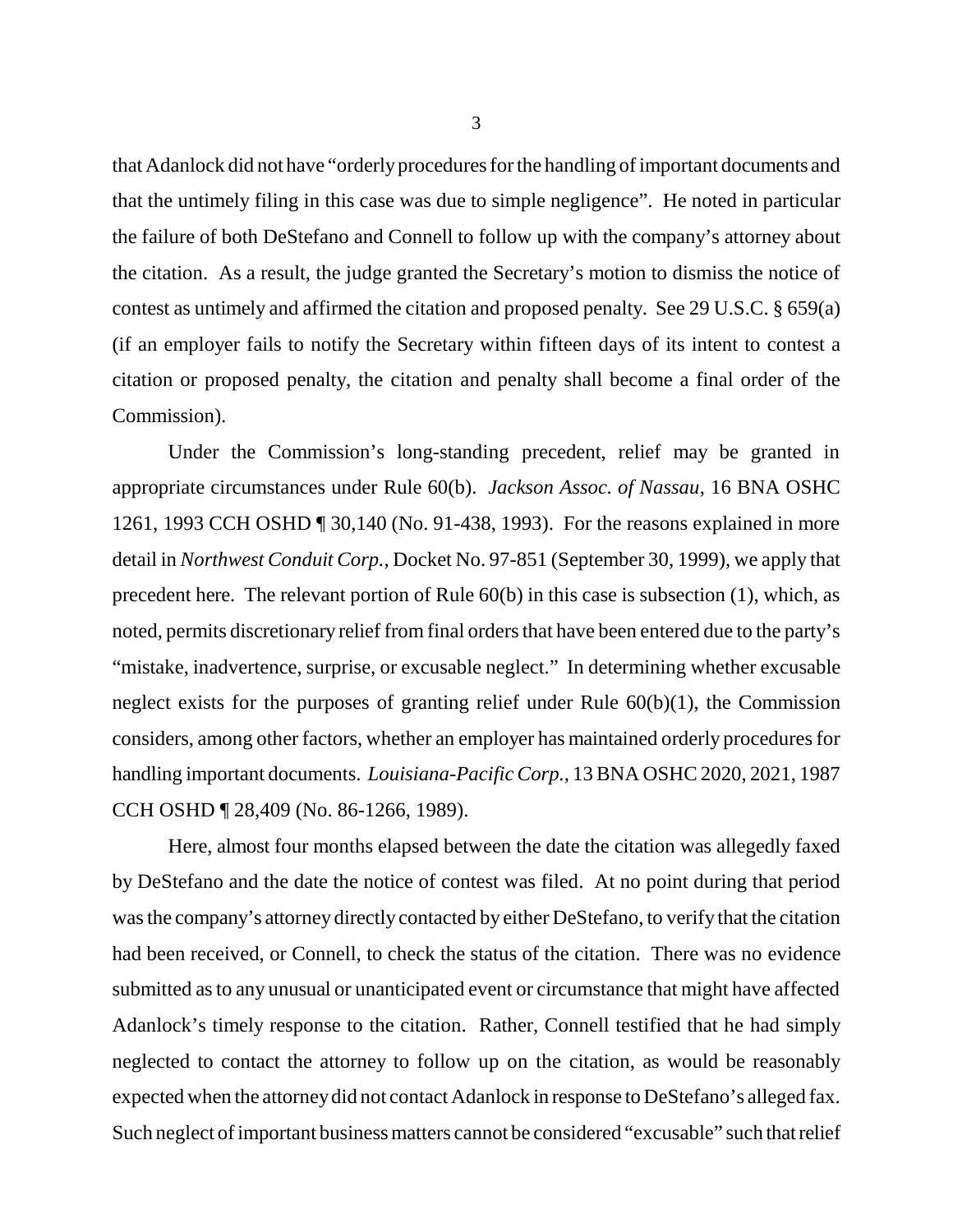that Adanlock did not have "orderly procedures for the handling of important documents and that the untimely filing in this case was due to simple negligence". He noted in particular the failure of both DeStefano and Connell to follow up with the company's attorney about the citation. As a result, the judge granted the Secretary's motion to dismiss the notice of contest as untimely and affirmed the citation and proposed penalty. See 29 U.S.C. § 659(a) (if an employer fails to notify the Secretary within fifteen days of its intent to contest a citation or proposed penalty, the citation and penalty shall become a final order of the Commission).

Under the Commission's long-standing precedent, relief may be granted in appropriate circumstances under Rule 60(b). *Jackson Assoc. of Nassau*, 16 BNA OSHC 1261, 1993 CCH OSHD ¶ 30,140 (No. 91-438, 1993). For the reasons explained in more detail in *Northwest Conduit Corp.*, Docket No. 97-851 (September 30, 1999), we apply that precedent here. The relevant portion of Rule 60(b) in this case is subsection (1), which, as noted, permits discretionary relief from final orders that have been entered due to the party's "mistake, inadvertence, surprise, or excusable neglect." In determining whether excusable neglect exists for the purposes of granting relief under Rule  $60(b)(1)$ , the Commission considers, among other factors, whether an employer has maintained orderly procedures for handling important documents. *Louisiana-Pacific Corp.*, 13 BNA OSHC 2020, 2021, 1987 CCH OSHD ¶ 28,409 (No. 86-1266, 1989).

Here, almost four months elapsed between the date the citation was allegedly faxed by DeStefano and the date the notice of contest was filed. At no point during that period was the company's attorney directly contacted by either DeStefano, to verify that the citation had been received, or Connell, to check the status of the citation. There was no evidence submitted as to any unusual or unanticipated event or circumstance that might have affected Adanlock's timely response to the citation. Rather, Connell testified that he had simply neglected to contact the attorney to follow up on the citation, as would be reasonably expected when the attorney did not contact Adanlock in response to DeStefano's alleged fax. Such neglect of important business matters cannot be considered "excusable" such that relief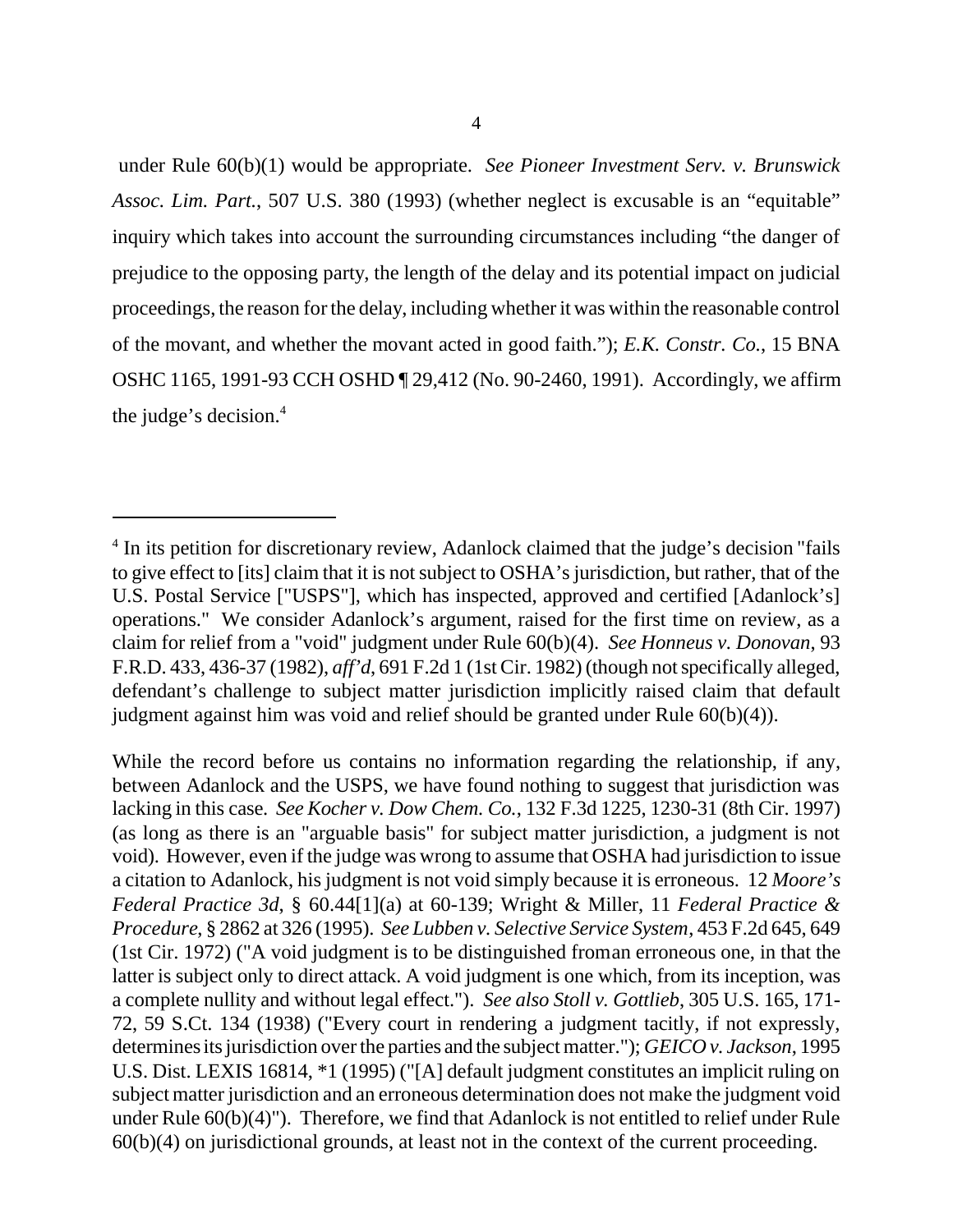under Rule 60(b)(1) would be appropriate. *See Pioneer Investment Serv. v. Brunswick Assoc. Lim. Part.*, 507 U.S. 380 (1993) (whether neglect is excusable is an "equitable" inquiry which takes into account the surrounding circumstances including "the danger of prejudice to the opposing party, the length of the delay and its potential impact on judicial proceedings, the reason for the delay, including whether it was within the reasonable control of the movant, and whether the movant acted in good faith."); *E.K. Constr. Co.*, 15 BNA OSHC 1165, 1991-93 CCH OSHD ¶ 29,412 (No. 90-2460, 1991). Accordingly, we affirm the judge's decision.<sup>4</sup>

While the record before us contains no information regarding the relationship, if any, between Adanlock and the USPS, we have found nothing to suggest that jurisdiction was lacking in this case. *See Kocher v. Dow Chem. Co.*, 132 F.3d 1225, 1230-31 (8th Cir. 1997) (as long as there is an "arguable basis" for subject matter jurisdiction, a judgment is not void). However, even if the judge was wrong to assume that OSHA had jurisdiction to issue a citation to Adanlock, his judgment is not void simply because it is erroneous. 12 *Moore's Federal Practice 3d*, § 60.44[1](a) at 60-139; Wright & Miller, 11 *Federal Practice & Procedure*, § 2862 at 326 (1995). *See Lubben v. Selective Service System*, 453 F.2d 645, 649 (1st Cir. 1972) ("A void judgment is to be distinguished from an erroneous one, in that the latter is subject only to direct attack. A void judgment is one which, from its inception, was a complete nullity and without legal effect."). *See also Stoll v. Gottlieb*, 305 U.S. 165, 171- 72, 59 S.Ct. 134 (1938) ("Every court in rendering a judgment tacitly, if not expressly, determines its jurisdiction over the parties and the subject matter."); *GEICO v. Jackson*, 1995 U.S. Dist. LEXIS 16814, \*1 (1995) ("[A] default judgment constitutes an implicit ruling on subject matter jurisdiction and an erroneous determination does not make the judgment void under Rule 60(b)(4)"). Therefore, we find that Adanlock is not entitled to relief under Rule 60(b)(4) on jurisdictional grounds, at least not in the context of the current proceeding.

<sup>&</sup>lt;sup>4</sup> In its petition for discretionary review, Adanlock claimed that the judge's decision "fails to give effect to [its] claim that it is not subject to OSHA's jurisdiction, but rather, that of the U.S. Postal Service ["USPS"], which has inspected, approved and certified [Adanlock's] operations." We consider Adanlock's argument, raised for the first time on review, as a claim for relief from a "void" judgment under Rule 60(b)(4). *See Honneus v. Donovan*, 93 F.R.D. 433, 436-37 (1982), *aff'd*, 691 F.2d 1 (1st Cir. 1982) (though not specifically alleged, defendant's challenge to subject matter jurisdiction implicitly raised claim that default judgment against him was void and relief should be granted under Rule 60(b)(4)).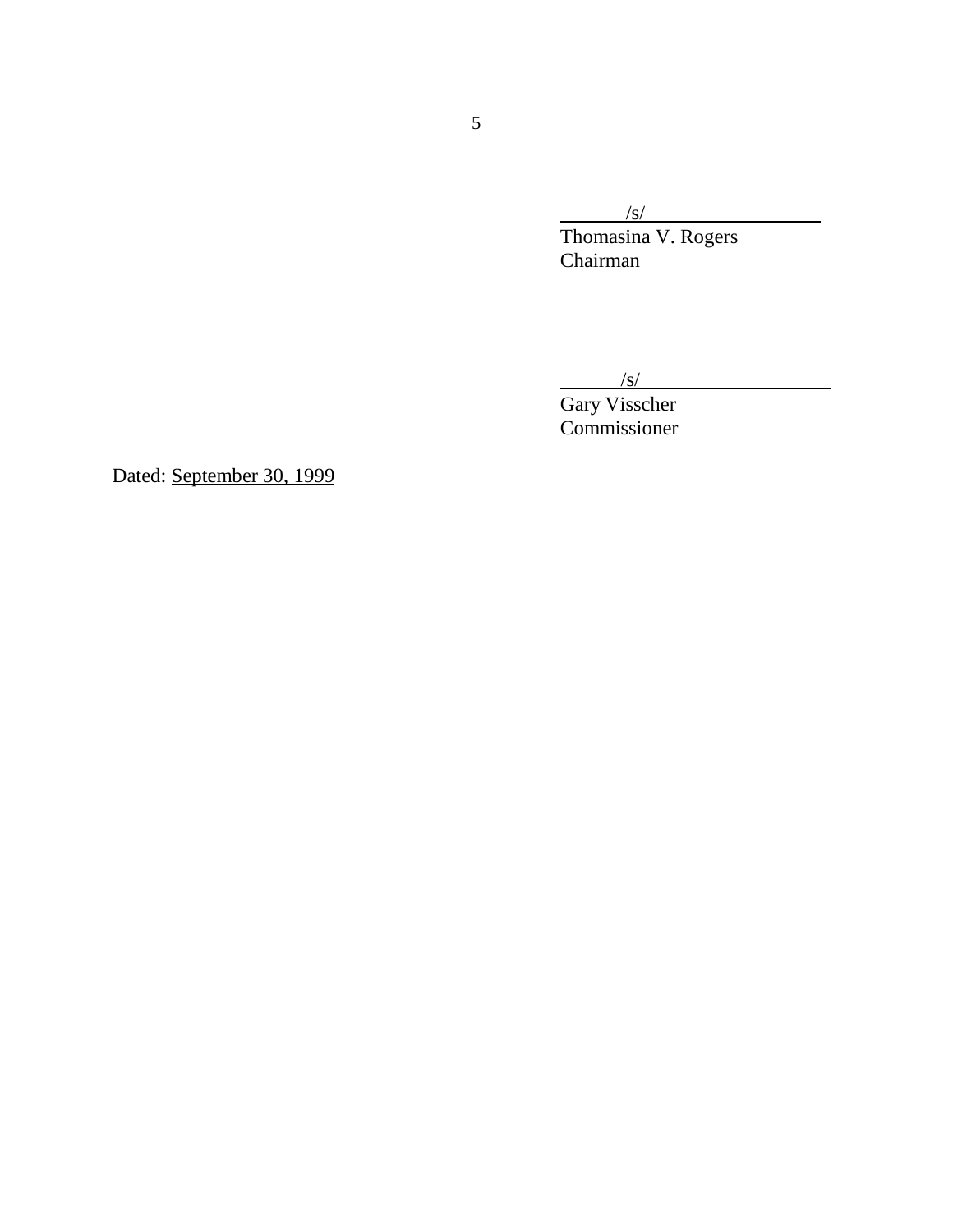$\frac{|s|}{s}$ 

Thomasina V. Rogers Chairman

 $\frac{|s|}{|s|}$ 

Gary Visscher Commissioner

Dated: September 30, 1999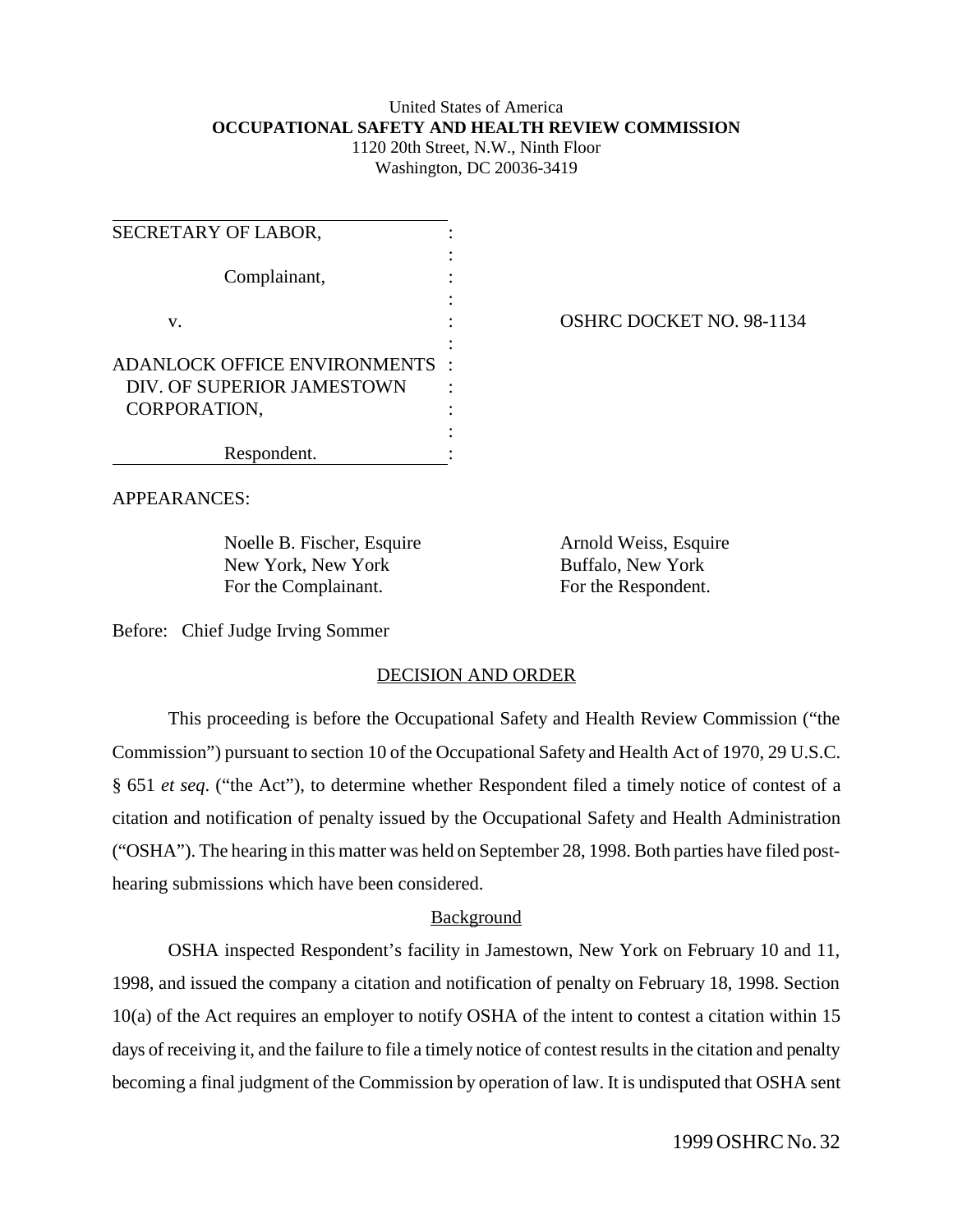#### United States of America **OCCUPATIONAL SAFETY AND HEALTH REVIEW COMMISSION** 1120 20th Street, N.W., Ninth Floor

Washington, DC 20036-3419

| SECRETARY OF LABOR,                 |  |
|-------------------------------------|--|
|                                     |  |
| Complainant,                        |  |
| V.                                  |  |
|                                     |  |
| <b>ADANLOCK OFFICE ENVIRONMENTS</b> |  |
| DIV. OF SUPERIOR JAMESTOWN          |  |
| CORPORATION,                        |  |
|                                     |  |
| Respondent.                         |  |

OSHRC DOCKET NO. 98-1134

APPEARANCES:

Noelle B. Fischer, Esquire Arnold Weiss, Esquire New York, New York Buffalo, New York For the Complainant. For the Respondent.

Before: Chief Judge Irving Sommer

# DECISION AND ORDER

This proceeding is before the Occupational Safety and Health Review Commission ("the Commission") pursuant to section 10 of the Occupational Safety and Health Act of 1970, 29 U.S.C. § 651 *et seq*. ("the Act"), to determine whether Respondent filed a timely notice of contest of a citation and notification of penalty issued by the Occupational Safety and Health Administration ("OSHA"). The hearing in this matter was held on September 28, 1998. Both parties have filed posthearing submissions which have been considered.

# Background

OSHA inspected Respondent's facility in Jamestown, New York on February 10 and 11, 1998, and issued the company a citation and notification of penalty on February 18, 1998. Section 10(a) of the Act requires an employer to notify OSHA of the intent to contest a citation within 15 days of receiving it, and the failure to file a timely notice of contest results in the citation and penalty becoming a final judgment of the Commission by operation of law. It is undisputed that OSHA sent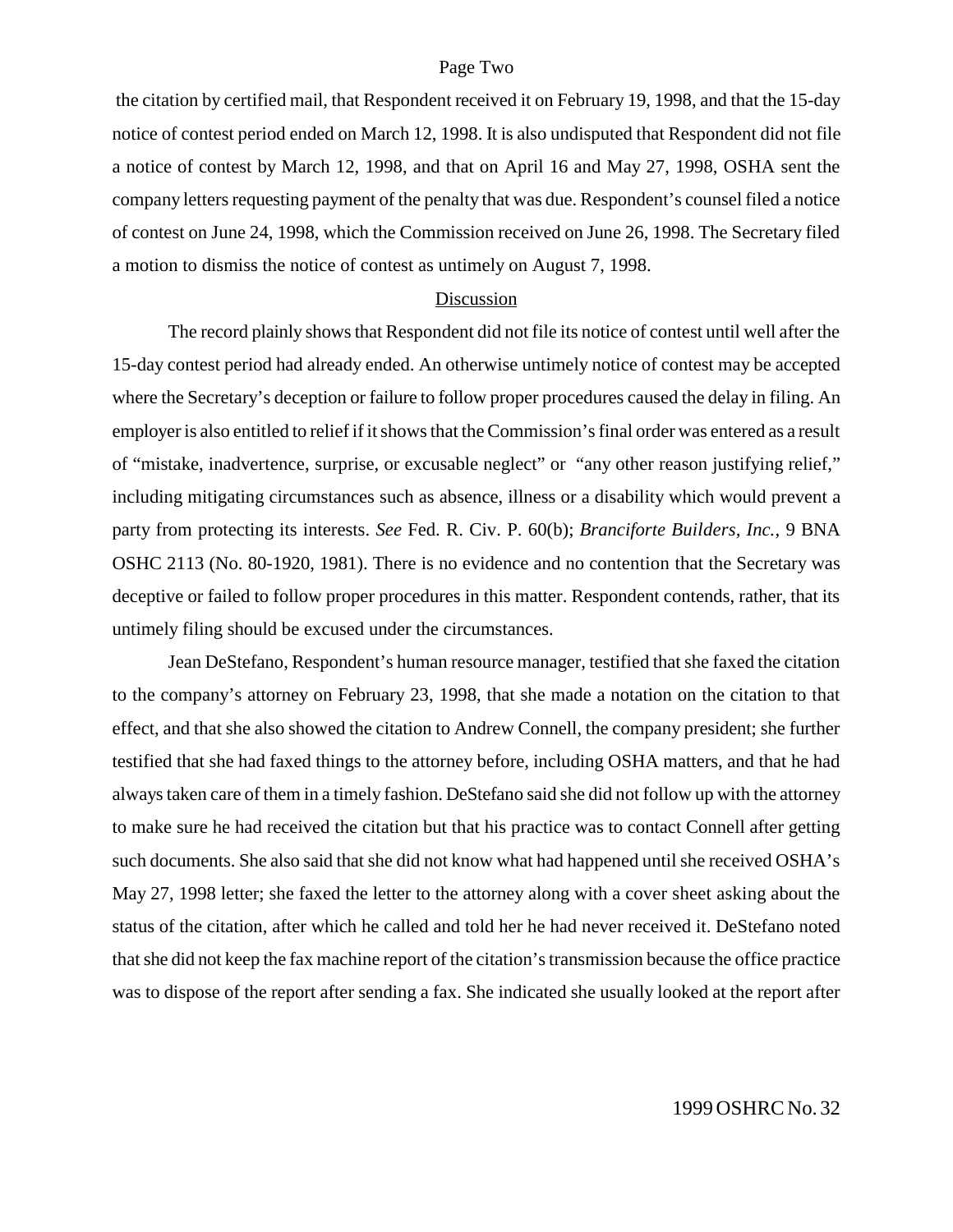#### Page Two

 the citation by certified mail, that Respondent received it on February 19, 1998, and that the 15-day notice of contest period ended on March 12, 1998. It is also undisputed that Respondent did not file a notice of contest by March 12, 1998, and that on April 16 and May 27, 1998, OSHA sent the company letters requesting payment of the penalty that was due. Respondent's counsel filed a notice of contest on June 24, 1998, which the Commission received on June 26, 1998. The Secretary filed a motion to dismiss the notice of contest as untimely on August 7, 1998.

## Discussion

The record plainly shows that Respondent did not file its notice of contest until well after the 15-day contest period had already ended. An otherwise untimely notice of contest may be accepted where the Secretary's deception or failure to follow proper procedures caused the delay in filing. An employer is also entitled to relief if it shows that the Commission's final order was entered as a result of "mistake, inadvertence, surprise, or excusable neglect" or "any other reason justifying relief," including mitigating circumstances such as absence, illness or a disability which would prevent a party from protecting its interests. *See* Fed. R. Civ. P. 60(b); *Branciforte Builders, Inc.*, 9 BNA OSHC 2113 (No. 80-1920, 1981). There is no evidence and no contention that the Secretary was deceptive or failed to follow proper procedures in this matter. Respondent contends, rather, that its untimely filing should be excused under the circumstances.

Jean DeStefano, Respondent's human resource manager, testified that she faxed the citation to the company's attorney on February 23, 1998, that she made a notation on the citation to that effect, and that she also showed the citation to Andrew Connell, the company president; she further testified that she had faxed things to the attorney before, including OSHA matters, and that he had always taken care of them in a timely fashion. DeStefano said she did not follow up with the attorney to make sure he had received the citation but that his practice was to contact Connell after getting such documents. She also said that she did not know what had happened until she received OSHA's May 27, 1998 letter; she faxed the letter to the attorney along with a cover sheet asking about the status of the citation, after which he called and told her he had never received it. DeStefano noted that she did not keep the fax machine report of the citation's transmission because the office practice was to dispose of the report after sending a fax. She indicated she usually looked at the report after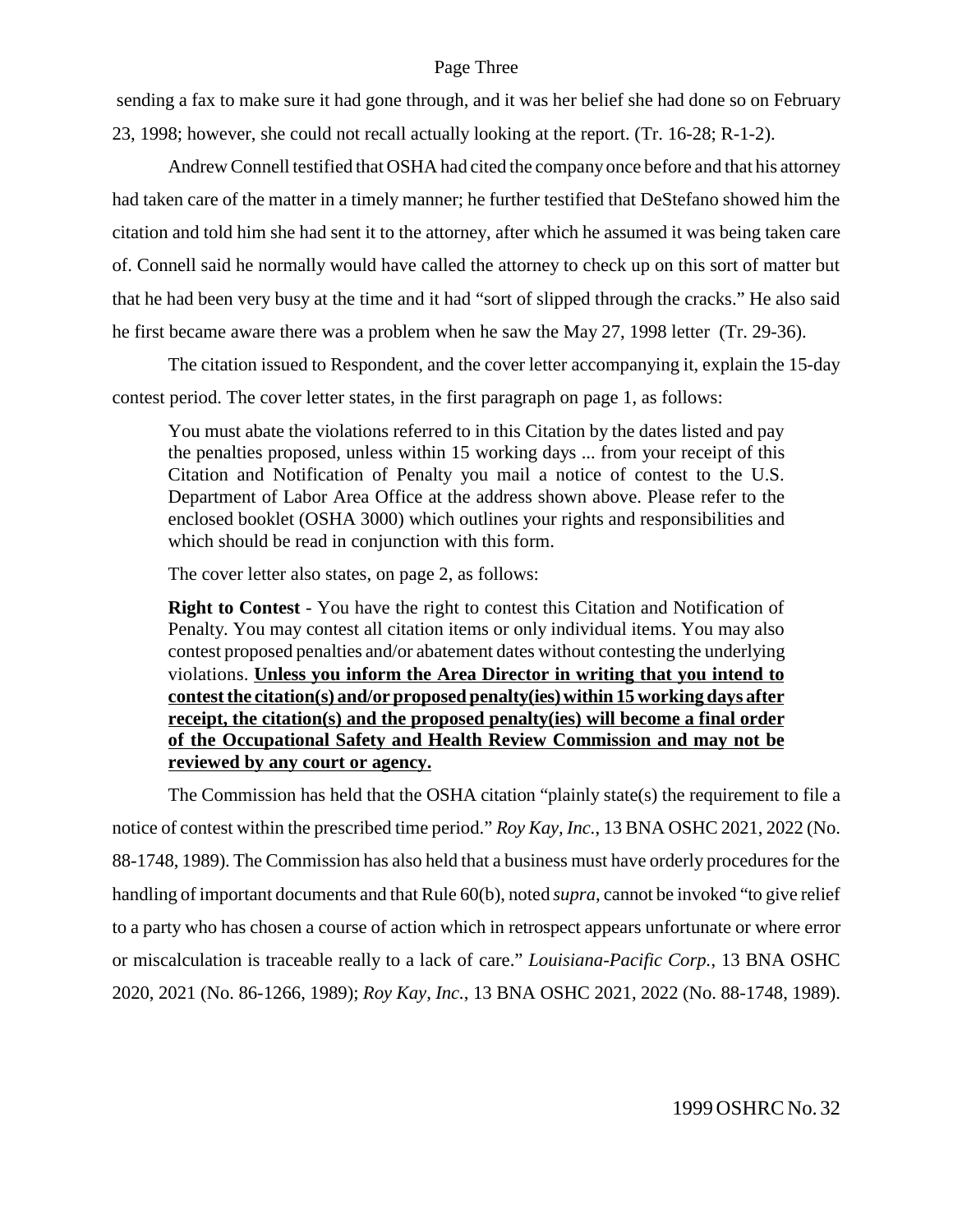### Page Three

 sending a fax to make sure it had gone through, and it was her belief she had done so on February 23, 1998; however, she could not recall actually looking at the report. (Tr. 16-28; R-1-2).

Andrew Connell testified that OSHA had cited the company once before and that his attorney had taken care of the matter in a timely manner; he further testified that DeStefano showed him the citation and told him she had sent it to the attorney, after which he assumed it was being taken care of. Connell said he normally would have called the attorney to check up on this sort of matter but that he had been very busy at the time and it had "sort of slipped through the cracks." He also said he first became aware there was a problem when he saw the May 27, 1998 letter (Tr. 29-36).

The citation issued to Respondent, and the cover letter accompanying it, explain the 15-day contest period. The cover letter states, in the first paragraph on page 1, as follows:

You must abate the violations referred to in this Citation by the dates listed and pay the penalties proposed, unless within 15 working days ... from your receipt of this Citation and Notification of Penalty you mail a notice of contest to the U.S. Department of Labor Area Office at the address shown above. Please refer to the enclosed booklet (OSHA 3000) which outlines your rights and responsibilities and which should be read in conjunction with this form.

The cover letter also states, on page 2, as follows:

**Right to Contest** - You have the right to contest this Citation and Notification of Penalty. You may contest all citation items or only individual items. You may also contest proposed penalties and/or abatement dates without contesting the underlying violations. **Unless you inform the Area Director in writing that you intend to contest the citation(s) and/or proposed penalty(ies) within 15 working days after receipt, the citation(s) and the proposed penalty(ies) will become a final order of the Occupational Safety and Health Review Commission and may not be reviewed by any court or agency.**

The Commission has held that the OSHA citation "plainly state(s) the requirement to file a notice of contest within the prescribed time period." *Roy Kay, Inc.*, 13 BNA OSHC 2021, 2022 (No. 88-1748, 1989). The Commission has also held that a business must have orderly procedures for the handling of important documents and that Rule 60(b), noted *supra*, cannot be invoked "to give relief to a party who has chosen a course of action which in retrospect appears unfortunate or where error or miscalculation is traceable really to a lack of care." *Louisiana-Pacific Corp.*, 13 BNA OSHC 2020, 2021 (No. 86-1266, 1989); *Roy Kay, Inc.*, 13 BNA OSHC 2021, 2022 (No. 88-1748, 1989).